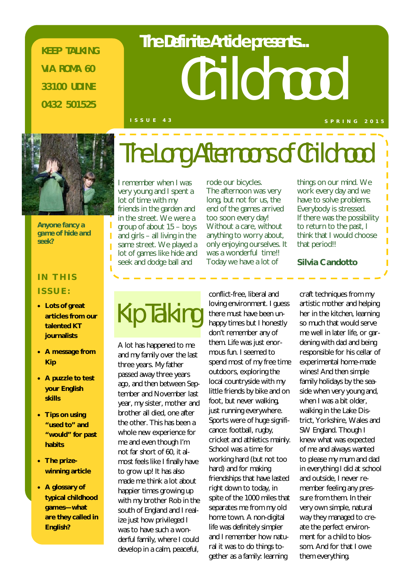**KEEP TALKING VIA ROMA 60 33100 UDINE 0432 501525**

# Childhood **The Definite Article presents...**

#### **I S S U E 4 3 S P R I N G 2 0 1 5**



*Anyone fancy a game of hide and seek?*

### **IN THIS ISSUE:**

- **Lots of great articles from our talented KT journalists**
- **A message from Kip**
- **A puzzle to test your English skills**
- **Tips on using "used to" and "would" for past habits**
- **The prizewinning article**
- **A glossary of typical childhood games—what are they called in English?**

I remember when I was very young and I spent a lot of time with my friends in the garden and in the street. We were a group of about 15 – boys and girls – all living in the same street. We played a lot of games like hide and seek and dodge ball and

rode our bicycles. The afternoon was very long, but not for us, the end of the games arrived too soon every day! Without a care, without anything to worry about, only enjoying ourselves. It was a wonderful time!! Today we have a lot of

The Long Afternoons of Childhood

things on our mind. We work every day and we have to solve problems. Everybody is stressed. If there was the possibility to return to the past, I think that I would choose that period!!

**Silvia Candotto**

### Kip Talking

A lot has happened to me and my family over the last three years. My father passed away three years ago, and then between September and November last year, my sister, mother and brother all died, one after the other. This has been a whole new experience for me and even though I'm not far short of 60, it almost feels like I finally have to grow up! It has also made me think a lot about happier times growing up with my brother Rob in the south of England and I realize just how privileged I was to have such a wonderful family, where I could develop in a calm, peaceful,

conflict-free, liberal and loving environment. I guess there must have been unhappy times but I honestly don't remember any of them. Life was just enormous fun. I seemed to spend most of my free time outdoors, exploring the local countryside with my little friends by bike and on foot, but never walking, just running everywhere. Sports were of huge significance: football, rugby, cricket and athletics mainly. School was a time for working hard (but not too hard) and for making friendships that have lasted right down to today, in spite of the 1000 miles that separates me from my old home town. A non-digital life was definitely simpler and I remember how natural it was to do things together as a family: learning

craft techniques from my artistic mother and helping her in the kitchen, learning so much that would serve me well in later life, or gardening with dad and being responsible for his cellar of experimental home-made wines! And then simple family holidays by the seaside when very young and, when I was a bit older. walking in the Lake District, Yorkshire, Wales and SW England. Though I knew what was expected of me and always wanted to please my mum and dad in everything I did at school and outside, I never remember feeling any pressure from them. In their very own simple, natural way they managed to create the perfect environment for a child to blossom. And for that I owe them everything.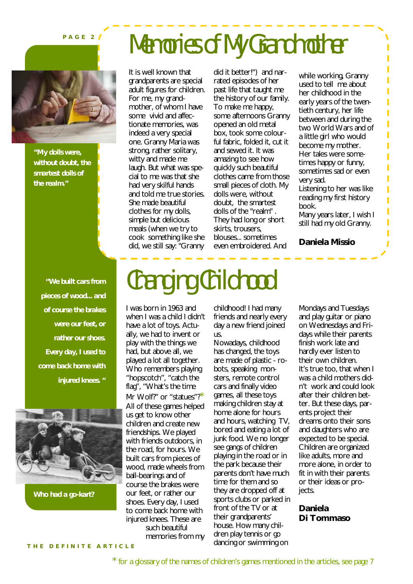#### **P A G E 2**



*"My dolls were, without doubt, the smartest dolls of the realm."*

*"We built cars from pieces of wood... and of course the brakes were our feet, or rather our shoes. Every day, I used to come back home with injured knees. "*



*Who had a go-kart?*

### Memories of My Grandmother

It is well known that grandparents are special adult figures for children. For me, my grandmother, of whom I have some vivid and affectionate memories, was indeed a very special one. Granny Maria was strong, rather solitary, witty and made me laugh. But what was special to me was that she had very skilful hands and told me true stories. She made beautiful clothes for my dolls, simple but delicious meals (when we try to cook something like she did, we still say: "Granny

did it better!") and narrated episodes of her past life that taught me the history of our family. To make me happy, some afternoons Granny opened an old metal box, took some colourful fabric, folded it, cut it and sewed it. It was amazing to see how quickly such beautiful clothes came from those small pieces of cloth. My dolls were, without doubt, the smartest dolls of the "realm" . They had long or short skirts, trousers, blouses... sometimes even embroidered. And

while working, Granny used to tell me about her childhood in the early years of the twentieth century, her life between and during the two World Wars and of a little girl who would become my mother. Her tales were sometimes happy or funny, sometimes sad or even very sad. Listening to her was like reading my first history book. Many years later, I wish I still had my old Granny.

**Daniela Missio**

### Changing Childhood

I was born in 1963 and when I was a child I didn't have a lot of toys. Actually, we had to invent or play with the things we had, but above all, we played a lot all together. Who remembers playing "hopscotch", "catch the flag", "What's the time Mr Wolf?" or "statues"?\* All of these games helped us get to know other children and create new friendships. We played with friends outdoors, in the road, for hours. We built cars from pieces of wood, made wheels from ball-bearings and of course the brakes were our feet, or rather our shoes. Every day, I used to come back home with injured knees. These are such beautiful memories from my

childhood! I had many friends and nearly every day a new friend joined us.

Nowadays, childhood has changed, the toys are made of plastic - robots, speaking monsters, remote control cars and finally video games, all these toys making children stay at home alone for hours and hours, watching TV, bored and eating a lot of junk food. We no longer see gangs of children playing in the road or in the park because their parents don't have much time for them and so they are dropped off at sports clubs or parked in front of the TV or at their grandparents' house. How many children play tennis or go dancing or swimming on

Mondays and Tuesdays and play guitar or piano on Wednesdays and Fridays while their parents finish work late and hardly ever listen to their own children. It's true too, that when I was a child mothers didn't work and could look after their children better. But these days, parents project their dreams onto their sons and daughters who are expected to be special. Children are organized like adults, more and more alone, in order to fit in with their parents or their ideas or projects.

**Daniela Di Tommaso**

**T H E D E F I N I T E A R T I C L E**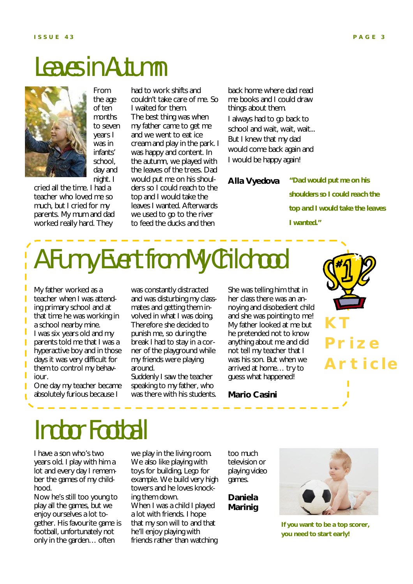### Leaves in Autumn



From the age of ten months to seven years I was in infants' school, day and night. I

cried all the time. I had a teacher who loved me so much, but I cried for my parents. My mum and dad worked really hard. They

had to work shifts and couldn't take care of me. So I waited for them. The best thing was when my father came to get me and we went to eat ice cream and play in the park. I was happy and content. In the autumn, we played with the leaves of the trees. Dad would put me on his shoulders so I could reach to the top and I would take the leaves I wanted. Afterwards we used to go to the river to feed the ducks and then

back home where dad read me books and I could draw things about them. I always had to go back to school and wait, wait, wait... But I knew that my dad would come back again and I would be happy again!

**Alla Vyedova**

*"Dad would put me on his shoulders so I could reach the top and I would take the leaves I wanted."*

### A Funny Event from My Childhood

My father worked as a teacher when I was attending primary school and at that time he was working in a school nearby mine. I was six years old and my parents told me that I was a hyperactive boy and in those days it was very difficult for them to control my behaviour.

I

Ī

Π Ī

Ī

One day my teacher became absolutely furious because I

was constantly distracted and was disturbing my classmates and getting them involved in what I was doing. Therefore she decided to punish me, so during the break I had to stay in a corner of the playground while my friends were playing around.

Suddenly I saw the teacher speaking to my father, who was there with his students. She was telling him that in her class there was an annoying and disobedient child and she was pointing to me! My father looked at me but he pretended not to know anything about me and did not tell my teacher that I was his son. But when we arrived at home… try to guess what happened!



**Mario Casini**

### Indoor Football

I have a son who's two years old. I play with him a lot and every day I remember the games of my childhood.

Now he's still too young to play all the games, but we enjoy ourselves a lot together. His favourite game is football, unfortunately not only in the garden… often

we play in the living room. We also like playing with toys for building, Lego for example. We build very high towers and he loves knocking them down. When I was a child I played a lot with friends. I hope that my son will to and that he'll enjoy playing with friends rather than watching

too much television or playing video games.

**Daniela Marinig**



**If you want to be a top scorer, you need to start early!**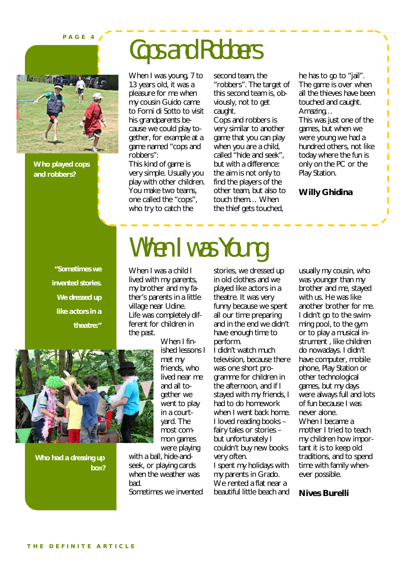**P A G E 4**



**Who played cops and robbers?**

### Cops and Robbers

When I was Young

When I was young, 7 to 13 years old, it was a pleasure for me when my cousin Guido came to Forni di Sotto to visit his grandparents because we could play together, for example at a game named "cops and robbers":

This kind of game is very simple. Usually you play with other children. You make two teams, one called the "cops", who try to catch the

second team, the "robbers". The target of this second team is, obviously, not to get caught.

Cops and robbers is very similar to another game that you can play when you are a child, called "hide and seek", but with a difference: the aim is not only to find the players of the other team, but also to touch them… When the thief gets touched,

he has to go to "jail". The game is over when all the thieves have been touched and caught. Amazing…

This was just one of the games, but when we were young we had a hundred others, not like today where the fun is only on the PC or the Play Station.

#### **Willy Ghidina**

*"Sometimes we invented stories. We dressed up like actors in a theatre:"*

When I was a child I lived with my parents, my brother and my father's parents in a little village near Udine. Life was completely different for children in the past.



*Who had a dressing up box?*

When I finished lessons I met my friends, who lived near me and all together we went to play in a courtyard. The most common games were playing

with a ball, hide-andseek, or playing cards when the weather was bad. Sometimes we invented stories, we dressed up in old clothes and we played like actors in a theatre. It was very funny because we spent all our time preparing and in the end we didn't have enough time to perform.

I didn't watch much television, because there was one short programme for children in the afternoon, and if I stayed with my friends, I had to do homework when I went back home. I loved reading books – fairy tales or stories – but unfortunately I couldn't buy new books very often. I spent my holidays with my parents in Grado.

We rented a flat near a beautiful little beach and

usually my cousin, who was younger than my brother and me, stayed with us. He was like another brother for me. I didn't go to the swimming pool, to the gym or to play a musical instrument , like children do nowadays. I didn't have computer, mobile phone, Play Station or other technological games, but my days were always full and lots of fun because I was never alone. When I became a mother I tried to teach my children how important it is to keep old traditions, and to spend time with family whenever possible.

**Nives Burelli**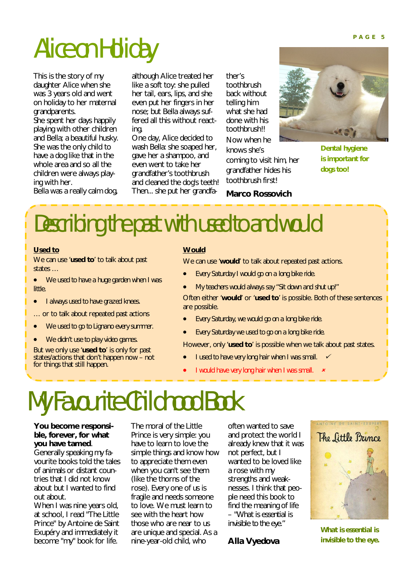## Alice on Holiday **PAGE 5**

This is the story of my daughter Alice when she was 3 years old and went on holiday to her maternal grandparents.

She spent her days happily playing with other children and Bella; a beautiful husky. She was the only child to have a dog like that in the whole area and so all the children were always playing with her.

Bella was a really calm dog,

although Alice treated her like a soft toy: she pulled her tail, ears, lips, and she even put her fingers in her nose; but Bella always suffered all this without reacting.

One day, Alice decided to wash Bella: she soaped her, gave her a shampoo, and even went to take her grandfather's toothbrush and cleaned the dog's teeth! Then... she put her grandfather's toothbrush back without telling him what she had done with his toothbrush!! Now when he knows she's

coming to visit him, her grandfather hides his toothbrush first!



*Dental hygiene is important for dogs too!*

#### **Marco Rossovich**

### Describing the past with *used to* and *would*

#### **Used to**

We can use '**used to**' to talk about past states …

- *We used to have a huge garden when I was little.*
- *I always used to have grazed knees.*
- … or to talk about repeated past actions
- *We used to go to Lignano every summer.*
- *We didn't use to play video games.*

But we only use '**used to**' is only for past states/actions that don't happen now – not for things that still happen.

#### **Would**

We can use '**would**' to talk about repeated past actions.

- *Every Saturday I would go on a long bike ride.*
- *My teachers would always say "Sit down and shut up!"*

Often either '**would**' or '**used to**' is possible. Both of these sentences are possible.

- *Every Saturday, we would go on a long bike ride.*
- *Every Saturday we used to go on a long bike ride.*

However, only '**used to**' is possible when we talk about past states.

- *I used to have very long hair when I was small.*
- *I would have very long hair when I was small.*

### My Favourite Childhood Book

#### **You become responsible, forever, for what you have tamed**.

Generally speaking my favourite books told the tales of animals or distant countries that I did not know about but I wanted to find out about.

When I was nine years old, at school, I read "The Little Prince" by Antoine de Saint Exupéry and immediately it become "my" book for life.

The moral of the Little Prince is very simple: you have to learn to love the simple things and know how to appreciate them even when you can't see them (like the thorns of the rose). Every one of us is fragile and needs someone to love. We must learn to see with the heart how those who are near to us are unique and special. As a nine-year-old child, who

often wanted to save and protect the world I already knew that it was not perfect, but I wanted to be loved like a rose with my strengths and weaknesses. I think that people need this book to find the meaning of life – *"What is essential is invisible to the eye."*

**Alla Vyedova**



*What is essential is invisible to the eye.*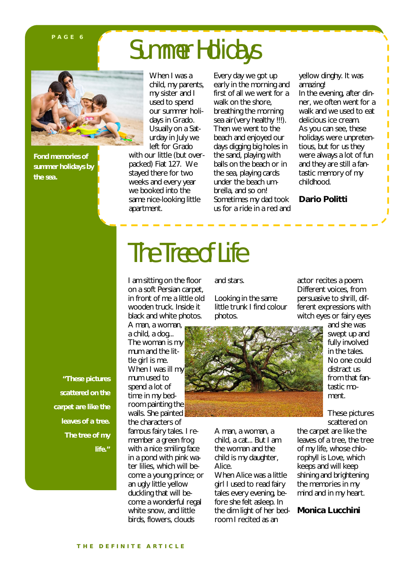#### **P A G E 6**

### Summer Holidays



*Fond memories of summer holidays by the sea.*

When I was a child, my parents, my sister and I used to spend our summer holidays in Grado. Usually on a Saturday in July we left for Grado

with our little (but overpacked) Fiat 127. We stayed there for two weeks and every year we booked into the same nice-looking little apartment.

Every day we got up early in the morning and first of all we went for a walk on the shore. breathing the morning sea air(very healthy !!!). Then we went to the beach and enjoyed our days digging big holes in the sand, playing with balls on the beach or in the sea, playing cards under the beach umbrella, and so on! Sometimes my dad took us for a ride in a red and yellow dinghy. It was amazing! In the evening, after dinner, we often went for a walk and we used to eat delicious ice cream. As you can see, these holidays were unpretentious, but for us they were always a lot of fun and they are still a fantastic memory of my childhood.

Ï ī Ï

Ï

Ī

**Dario Politti**

*"These pictures scattered on the carpet are like the leaves of a tree. The tree of my life."*

## The Tree of Life

I am sitting on the floor on a soft Persian carpet, in front of me a little old wooden truck. Inside it black and white photos.

A man, a woman, a child, a dog... The woman is my mum and the little girl is me. When I was ill my mum used to spend a lot of time in my bedroom painting the walls. She painted the characters of

famous fairy tales. I remember a green frog with a nice smiling face in a pond with pink water lilies, which will become a young prince; or an ugly little yellow duckling that will become a wonderful regal white snow, and little birds, flowers, clouds

and stars.

Looking in the same little trunk I find colour photos.



A man, a woman, a child, a cat... But I am the woman and the child is my daughter, Alice.

When Alice was a little girl I used to read fairy tales every evening, before she felt asleep. In the dim light of her bedroom I recited as an

actor recites a poem. Different voices, from persuasive to shrill, different expressions with witch eyes or fairy eyes

> and she was swept up and fully involved in the tales. No one could distract us from that fantastic moment.

These pictures scattered on

the carpet are like the leaves of a tree, the tree of my life, whose chlorophyll is Love, which keeps and will keep shining and brightening the memories in my mind and in my heart.

**Monica Lucchini**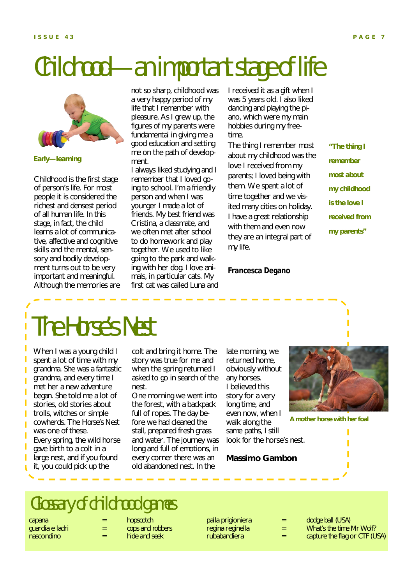### Childhood—an important stage of life



*Early—learning*

Childhood is the first stage of person's life. For most people it is considered the richest and densest period of all human life. In this stage, in fact, the child learns a lot of communicative, affective and cognitive skills and the mental, sensory and bodily development turns out to be very important and meaningful. Although the memories are not so sharp, childhood was a very happy period of my life that I remember with pleasure. As I grew up, the figures of my parents were fundamental in giving me a good education and setting me on the path of development.

I always liked studying and I remember that I loved going to school. I'm a friendly person and when I was younger I made a lot of friends. My best friend was Cristina, a classmate, and we often met after school to do homework and play together. We used to like going to the park and walking with her dog. I love animals, in particular cats. My first cat was called Luna and I received it as a gift when I was 5 years old. I also liked dancing and playing the piano, which were my main hobbies during my freetime.

The thing I remember most about my childhood was the love I received from my parents; I loved being with them. We spent a lot of time together and we visited many cities on holiday. I have a great relationship with them and even now they are an integral part of my life.

#### **Francesca Degano**

*"The thing I remember most about my childhood is the love I received from my parents"*

The Horse's Nest

When I was a young child I spent a lot of time with my grandma. She was a fantastic grandma, and every time I met her a new adventure began. She told me a lot of stories, old stories about trolls, witches or simple cowherds. The *Horse's Nest*  was one of these. Every spring, the wild horse gave birth to a colt in a large nest, and if you found it, you could pick up the

colt and bring it home. The story was true for me and when the spring returned I asked to go in search of the nest.

One morning we went into the forest, with a backpack full of ropes. The day before we had cleaned the stall, prepared fresh grass and water. The journey was long and full of emotions, in every corner there was an old abandoned nest. In the

late morning, we returned home, obviously without any horses. I believed this story for a very long time, and even now, when I walk along the same paths, I still look for the horse's nest.

**Massimo Gambon**



*A mother horse with her foal*

Glossary of childhood games

capana = *hopscotch* nascondino = *hide and seek*

Ī

cops and robbers

- palla prigioniera = *dodge ball (USA)*
- regina reginella = *What's the time Mr Wolf?*
- rubabandiera = *capture the flag* or *CTF (USA)*